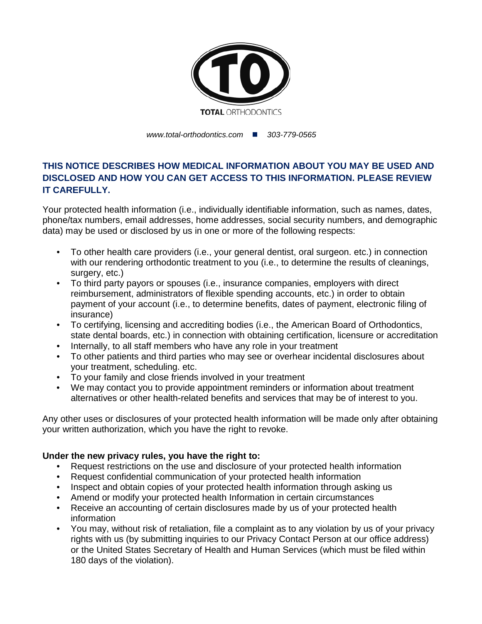

*www.total-orthodontics.com 303-779-0565*

## **THIS NOTICE DESCRIBES HOW MEDICAL INFORMATION ABOUT YOU MAY BE USED AND DISCLOSED AND HOW YOU CAN GET ACCESS TO THIS INFORMATION. PLEASE REVIEW IT CAREFULLY.**

Your protected health information (i.e., individually identifiable information, such as names, dates, phone/tax numbers, email addresses, home addresses, social security numbers, and demographic data) may be used or disclosed by us in one or more of the following respects:

- To other health care providers (i.e., your general dentist, oral surgeon. etc.) in connection with our rendering orthodontic treatment to you (i.e., to determine the results of cleanings, surgery, etc.)
- To third party payors or spouses (i.e., insurance companies, employers with direct reimbursement, administrators of flexible spending accounts, etc.) in order to obtain payment of your account (i.e., to determine benefits, dates of payment, electronic filing of insurance)
- To certifying, licensing and accrediting bodies (i.e., the American Board of Orthodontics, state dental boards, etc.) in connection with obtaining certification, licensure or accreditation
- Internally, to all staff members who have any role in your treatment
- To other patients and third parties who may see or overhear incidental disclosures about your treatment, scheduling. etc.
- To your family and close friends involved in your treatment
- We may contact you to provide appointment reminders or information about treatment alternatives or other health-related benefits and services that may be of interest to you.

Any other uses or disclosures of your protected health information will be made only after obtaining your written authorization, which you have the right to revoke.

## **Under the new privacy rules, you have the right to:**

- Request restrictions on the use and disclosure of your protected health information
- Request confidential communication of your protected health information
- Inspect and obtain copies of your protected health information through asking us
- Amend or modify your protected health Information in certain circumstances
- Receive an accounting of certain disclosures made by us of your protected health information
- You may, without risk of retaliation, file a complaint as to any violation by us of your privacy rights with us (by submitting inquiries to our Privacy Contact Person at our office address) or the United States Secretary of Health and Human Services (which must be filed within 180 days of the violation).